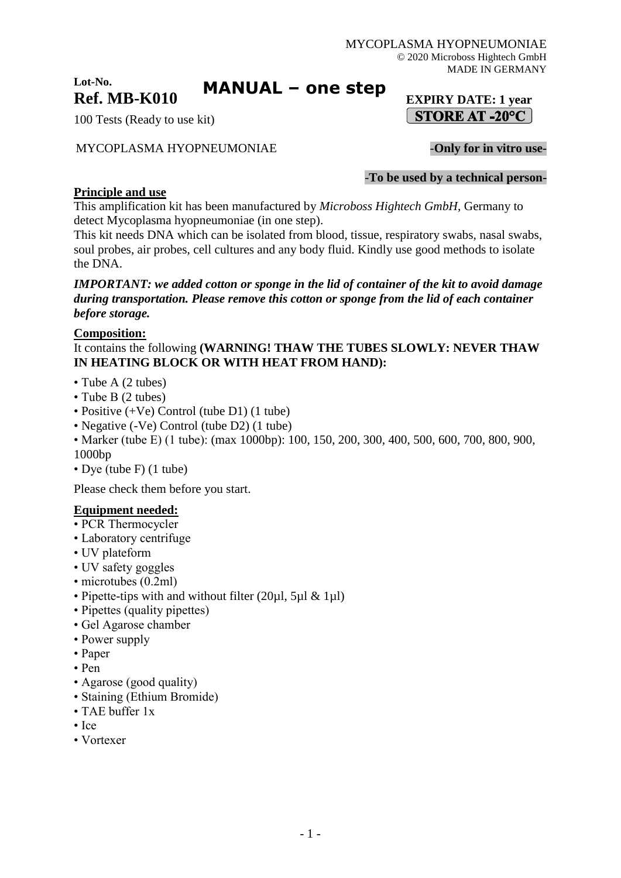## **Lot-No. Ref. MB-K010 EXPIRY DATE: 1 year**

**MANUAL – one step**

100 Tests (Ready to use kit)

# MYCOPLASMA HYOPNEUMONIAE -**Only for in vitro use-**

-**To be used by a technical person-**

 $\int$  STORE AT -20°C  $\vert$ 

# **Principle and use**

This amplification kit has been manufactured by *Microboss Hightech GmbH*, Germany to detect Mycoplasma hyopneumoniae (in one step).

This kit needs DNA which can be isolated from blood, tissue, respiratory swabs, nasal swabs, soul probes, air probes, cell cultures and any body fluid. Kindly use good methods to isolate the DNA.

### *IMPORTANT: we added cotton or sponge in the lid of container of the kit to avoid damage during transportation. Please remove this cotton or sponge from the lid of each container before storage.*

## **Composition:**

It contains the following **(WARNING! THAW THE TUBES SLOWLY: NEVER THAW IN HEATING BLOCK OR WITH HEAT FROM HAND):**

- Tube A (2 tubes)
- Tube B (2 tubes)
- Positive (+Ve) Control (tube D1) (1 tube)
- Negative (-Ve) Control (tube D2) (1 tube)
- Marker (tube E) (1 tube): (max 1000bp): 100, 150, 200, 300, 400, 500, 600, 700, 800, 900, 1000bp
- Dye (tube F) (1 tube)

Please check them before you start.

## **Equipment needed:**

- PCR Thermocycler
- Laboratory centrifuge
- UV plateform
- UV safety goggles
- microtubes (0.2ml)
- Pipette-tips with and without filter  $(20\mu l, 5\mu l \& 1\mu l)$
- Pipettes (quality pipettes)
- Gel Agarose chamber
- Power supply
- Paper
- Pen
- Agarose (good quality)
- Staining (Ethium Bromide)
- TAE buffer 1x
- Ice
- Vortexer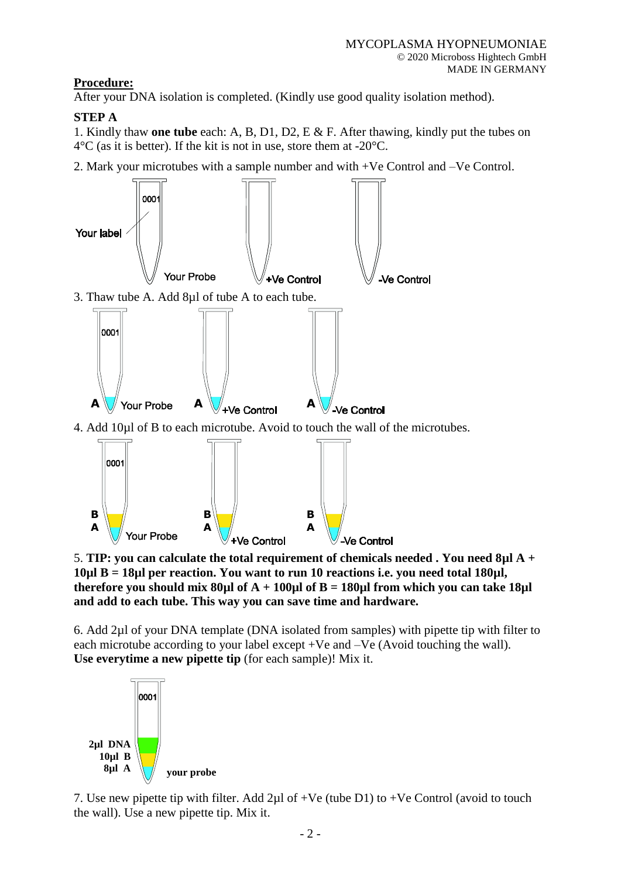# **Procedure:**

After your DNA isolation is completed. (Kindly use good quality isolation method).

# **STEP A**

1. Kindly thaw **one tube** each: A, B, D1, D2, E & F. After thawing, kindly put the tubes on  $4^{\circ}$ C (as it is better). If the kit is not in use, store them at -20 $^{\circ}$ C.

2. Mark your microtubes with a sample number and with +Ve Control and –Ve Control.



5. **TIP: you can calculate the total requirement of chemicals needed . You need 8µl A + 10µl B = 18µl per reaction. You want to run 10 reactions i.e. you need total 180µl, therefore you should mix 80µl of A + 100µl of B = 180µl from which you can take 18µl and add to each tube. This way you can save time and hardware.**

6. Add 2µl of your DNA template (DNA isolated from samples) with pipette tip with filter to each microtube according to your label except +Ve and –Ve (Avoid touching the wall). **Use everytime a new pipette tip** (for each sample)! Mix it.



7. Use new pipette tip with filter. Add 2µl of +Ve (tube D1) to +Ve Control (avoid to touch the wall). Use a new pipette tip. Mix it.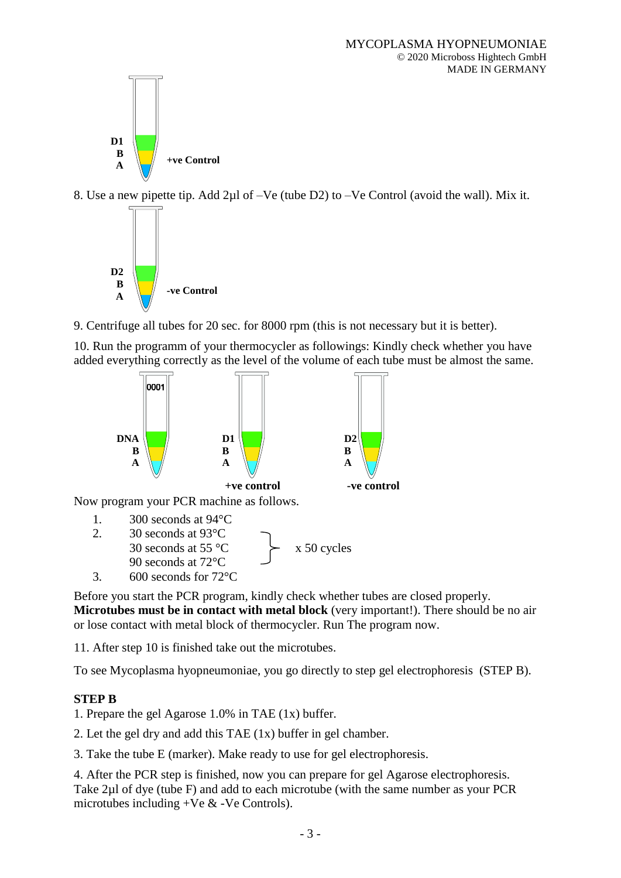

8. Use a new pipette tip. Add 2µl of –Ve (tube D2) to –Ve Control (avoid the wall). Mix it.



9. Centrifuge all tubes for 20 sec. for 8000 rpm (this is not necessary but it is better).

10. Run the programm of your thermocycler as followings: Kindly check whether you have added everything correctly as the level of the volume of each tube must be almost the same.





Before you start the PCR program, kindly check whether tubes are closed properly. **Microtubes must be in contact with metal block** (very important!). There should be no air or lose contact with metal block of thermocycler. Run The program now.

11. After step 10 is finished take out the microtubes.

To see Mycoplasma hyopneumoniae, you go directly to step gel electrophoresis (STEP B).

## **STEP B**

1. Prepare the gel Agarose 1.0% in TAE (1x) buffer.

2. Let the gel dry and add this TAE (1x) buffer in gel chamber.

3. Take the tube E (marker). Make ready to use for gel electrophoresis.

4. After the PCR step is finished, now you can prepare for gel Agarose electrophoresis. Take 2µl of dye (tube F) and add to each microtube (with the same number as your PCR microtubes including  $+Ve \& -Ve$  Controls).